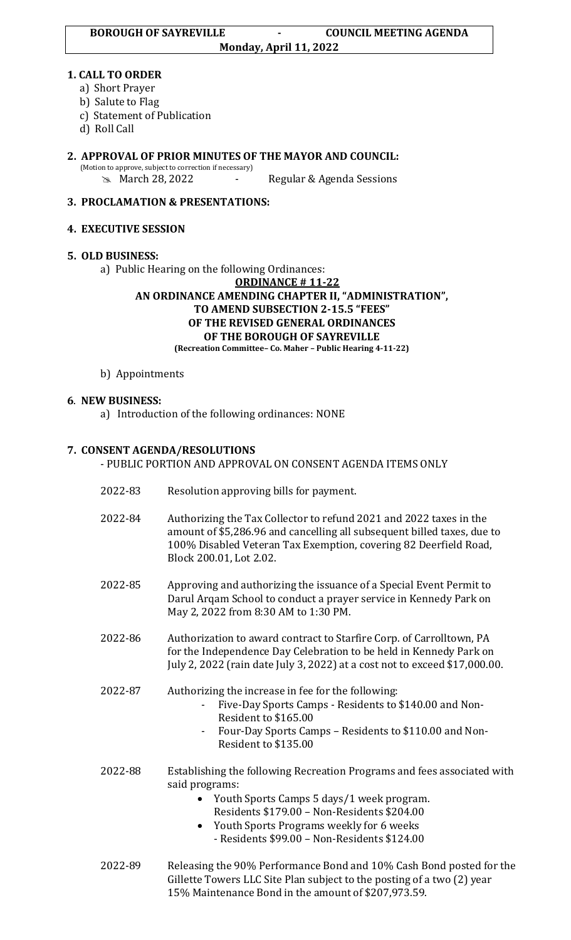### **1. CALL TO ORDER**

- a) Short Prayer
- b) Salute to Flag
- c) Statement of Publication
- d) Roll Call
- **2. APPROVAL OF PRIOR MINUTES OF THE MAYOR AND COUNCIL:**  (Motion to approve, subject to correction if necessary) **EXA** March 28, 2022 - Regular & Agenda Sessions

# **3. PROCLAMATION & PRESENTATIONS:**

### **4. EXECUTIVE SESSION**

# **5. OLD BUSINESS:**

a) Public Hearing on the following Ordinances:

**ORDINANCE # 11-22 AN ORDINANCE AMENDING CHAPTER II, "ADMINISTRATION", TO AMEND SUBSECTION 2-15.5 "FEES" OF THE REVISED GENERAL ORDINANCES OF THE BOROUGH OF SAYREVILLE (Recreation Committee– Co. Maher – Public Hearing 4-11-22)**

b) Appointments

# **6**. **NEW BUSINESS:**

a) Introduction of the following ordinances: NONE

# **7. CONSENT AGENDA/RESOLUTIONS**

- PUBLIC PORTION AND APPROVAL ON CONSENT AGENDA ITEMS ONLY
- 2022-83 Resolution approving bills for payment.
- 2022-84 Authorizing the Tax Collector to refund 2021 and 2022 taxes in the amount of \$5,286.96 and cancelling all subsequent billed taxes, due to 100% Disabled Veteran Tax Exemption, covering 82 Deerfield Road, Block 200.01, Lot 2.02.
- 2022-85 Approving and authorizing the issuance of a Special Event Permit to Darul Arqam School to conduct a prayer service in Kennedy Park on May 2, 2022 from 8:30 AM to 1:30 PM.
- 2022-86 Authorization to award contract to Starfire Corp. of Carrolltown, PA for the Independence Day Celebration to be held in Kennedy Park on July 2, 2022 (rain date July 3, 2022) at a cost not to exceed \$17,000.00.
- 2022-87 Authorizing the increase in fee for the following:
	- Five-Day Sports Camps Residents to \$140.00 and Non-Resident to \$165.00
	- Four-Day Sports Camps Residents to \$110.00 and Non-Resident to \$135.00
- 2022-88 Establishing the following Recreation Programs and fees associated with said programs:
	- Youth Sports Camps 5 days/1 week program. Residents \$179.00 – Non-Residents \$204.00
	- Youth Sports Programs weekly for 6 weeks - Residents \$99.00 – Non-Residents \$124.00
- 2022-89 Releasing the 90% Performance Bond and 10% Cash Bond posted for the Gillette Towers LLC Site Plan subject to the posting of a two (2) year 15% Maintenance Bond in the amount of \$207,973.59.